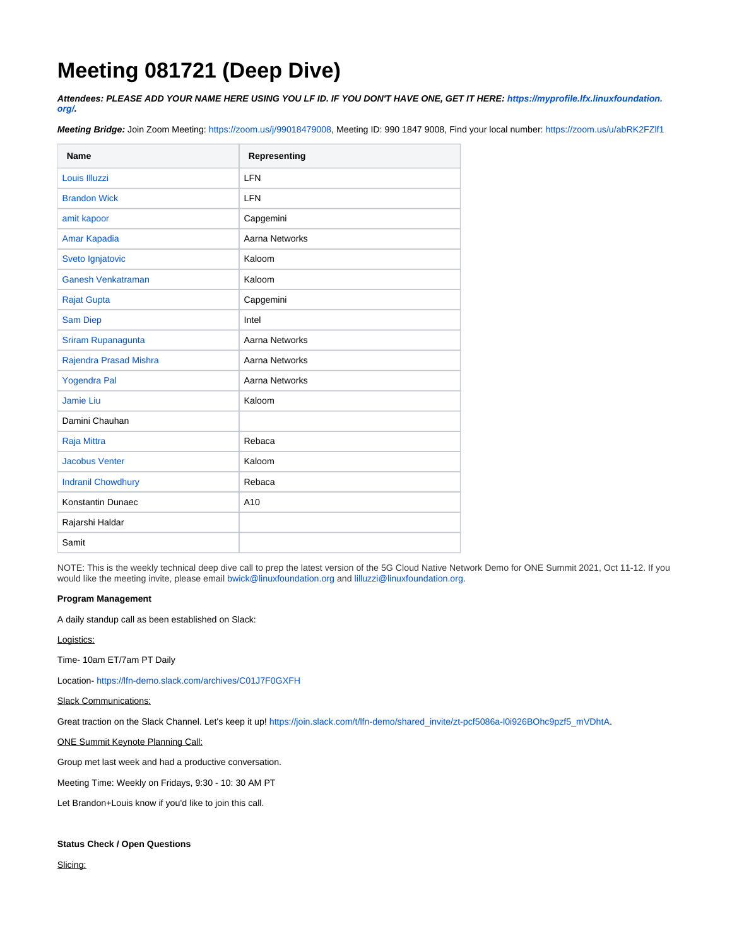# **Meeting 081721 (Deep Dive)**

**Attendees: PLEASE ADD YOUR NAME HERE USING YOU LF ID. IF YOU DON'T HAVE ONE, GET IT HERE: [https://myprofile.lfx.linuxfoundation.](https://myprofile.lfx.linuxfoundation.org/) [org/](https://myprofile.lfx.linuxfoundation.org/).**

**Meeting Bridge:** Join Zoom Meeting: <https://zoom.us/j/99018479008>, Meeting ID: 990 1847 9008, Find your local number: <https://zoom.us/u/abRK2FZlf1>

| <b>Name</b>               | Representing    |
|---------------------------|-----------------|
| Louis Illuzzi             | <b>LFN</b>      |
| <b>Brandon Wick</b>       | <b>LFN</b>      |
| amit kapoor               | Capgemini       |
| Amar Kapadia              | Aarna Networks  |
| Sveto Ignjatovic          | Kaloom          |
| Ganesh Venkatraman        | Kaloom          |
| <b>Rajat Gupta</b>        | Capgemini       |
| <b>Sam Diep</b>           | Intel           |
| Sriram Rupanagunta        | Aarna Networks  |
| Rajendra Prasad Mishra    | Aarna Networks  |
| <b>Yogendra Pal</b>       | Aarna Networks  |
| Jamie Liu                 | Kaloom          |
| Damini Chauhan            |                 |
| Raja Mittra               | Rebaca          |
| <b>Jacobus Venter</b>     | Kaloom          |
| <b>Indranil Chowdhury</b> | Rebaca          |
| Konstantin Dunaec         | A <sub>10</sub> |
| Rajarshi Haldar           |                 |
| Samit                     |                 |

NOTE: This is the weekly technical deep dive call to prep the latest version of the 5G Cloud Native Network Demo for ONE Summit 2021, Oct 11-12. If you would like the meeting invite, please email [bwick@linuxfoundation.org](mailto:bwick@linuxfoundation.org) and [lilluzzi@linuxfoundation.org.](mailto:lilluzzi@contractor.linuxfoundation.org)

## **Program Management**

A daily standup call as been established on Slack:

## Logistics:

Time- 10am ET/7am PT Daily

Location- <https://lfn-demo.slack.com/archives/C01J7F0GXFH>

# Slack Communications:

Great traction on the Slack Channel. Let's keep it up! [https://join.slack.com/t/lfn-demo/shared\\_invite/zt-pcf5086a-l0i926BOhc9pzf5\\_mVDhtA](https://join.slack.com/t/lfn-demo/shared_invite/zt-pcf5086a-l0i926BOhc9pzf5_mVDhtA).

ONE Summit Keynote Planning Call:

Group met last week and had a productive conversation.

Meeting Time: Weekly on Fridays, 9:30 - 10: 30 AM PT

Let Brandon+Louis know if you'd like to join this call.

## **Status Check / Open Questions**

Slicing: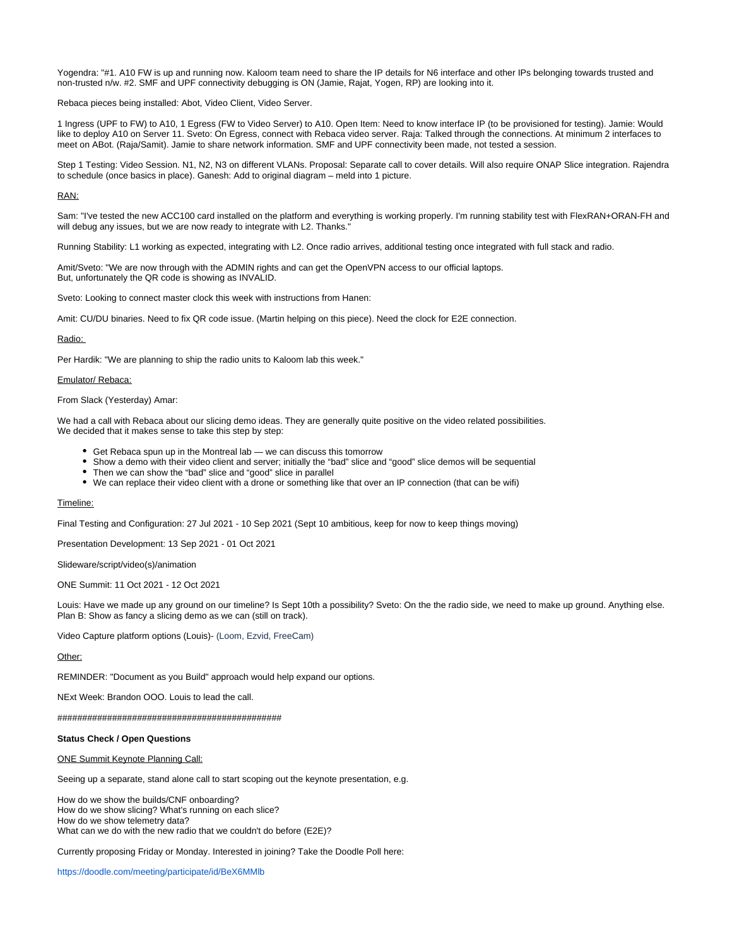Yogendra: "#1. A10 FW is up and running now. Kaloom team need to share the IP details for N6 interface and other IPs belonging towards trusted and non-trusted n/w. #2. SMF and UPF connectivity debugging is ON (Jamie, Rajat, Yogen, RP) are looking into it.

Rebaca pieces being installed: Abot, Video Client, Video Server.

1 Ingress (UPF to FW) to A10, 1 Egress (FW to Video Server) to A10. Open Item: Need to know interface IP (to be provisioned for testing). Jamie: Would like to deploy A10 on Server 11. Sveto: On Egress, connect with Rebaca video server. Raja: Talked through the connections. At minimum 2 interfaces to meet on ABot. (Raja/Samit). Jamie to share network information. SMF and UPF connectivity been made, not tested a session.

Step 1 Testing: Video Session. N1, N2, N3 on different VLANs. Proposal: Separate call to cover details. Will also require ONAP Slice integration. Rajendra to schedule (once basics in place). Ganesh: Add to original diagram – meld into 1 picture.

## RAN:

Sam: "I've tested the new ACC100 card installed on the platform and everything is working properly. I'm running stability test with FlexRAN+ORAN-FH and will debug any issues, but we are now ready to integrate with L2. Thanks."

Running Stability: L1 working as expected, integrating with L2. Once radio arrives, additional testing once integrated with full stack and radio.

Amit/Sveto: "We are now through with the ADMIN rights and can get the OpenVPN access to our official laptops. But, unfortunately the QR code is showing as INVALID.

Sveto: Looking to connect master clock this week with instructions from Hanen:

Amit: CU/DU binaries. Need to fix QR code issue. (Martin helping on this piece). Need the clock for E2E connection.

#### Radio:

Per Hardik: "We are planning to ship the radio units to Kaloom lab this week."

#### Emulator/ Rebaca:

## From Slack (Yesterday) Amar:

We had a call with Rebaca about our slicing demo ideas. They are generally quite positive on the video related possibilities. We decided that it makes sense to take this step by step:

- Get Rebaca spun up in the Montreal lab we can discuss this tomorrow
- Show a demo with their video client and server; initially the "bad" slice and "good" slice demos will be sequential
- Then we can show the "bad" slice and "good" slice in parallel
- We can replace their video client with a drone or something like that over an IP connection (that can be wifi)

#### Timeline:

Final Testing and Configuration: 27 Jul 2021 - 10 Sep 2021 (Sept 10 ambitious, keep for now to keep things moving)

Presentation Development: 13 Sep 2021 - 01 Oct 2021

Slideware/script/video(s)/animation

ONE Summit: 11 Oct 2021 - 12 Oct 2021

Louis: Have we made up any ground on our timeline? Is Sept 10th a possibility? Sveto: On the the radio side, we need to make up ground. Anything else. Plan B: Show as fancy a slicing demo as we can (still on track).

Video Capture platform options (Louis)- (Loom, Ezvid, FreeCam)

#### Other:

REMINDER: "Document as you Build" approach would help expand our options.

NExt Week: Brandon OOO. Louis to lead the call.

#############################################

#### **Status Check / Open Questions**

#### ONE Summit Keynote Planning Call:

Seeing up a separate, stand alone call to start scoping out the keynote presentation, e.g.

How do we show the builds/CNF onboarding? How do we show slicing? What's running on each slice? How do we show telemetry data? What can we do with the new radio that we couldn't do before (E2E)?

Currently proposing Friday or Monday. Interested in joining? Take the Doodle Poll here:

<https://doodle.com/meeting/participate/id/BeX6MMlb>